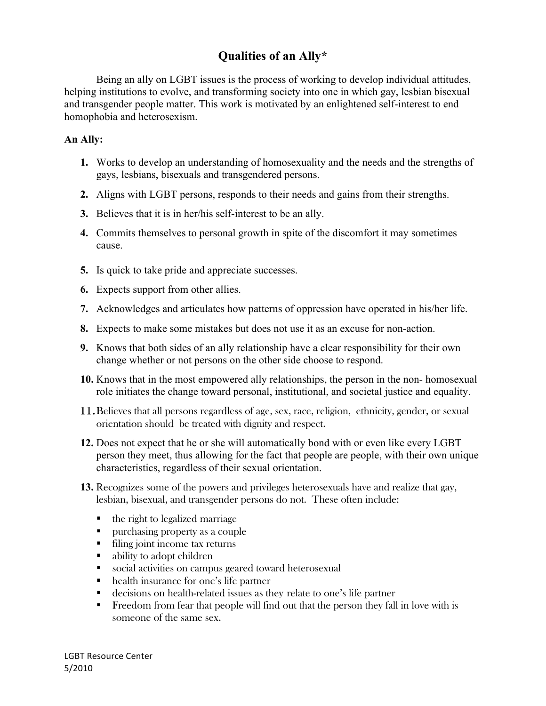## **Qualities of an Ally\***

Being an ally on LGBT issues is the process of working to develop individual attitudes, helping institutions to evolve, and transforming society into one in which gay, lesbian bisexual and transgender people matter. This work is motivated by an enlightened self-interest to end homophobia and heterosexism.

## **An Ally:**

- **1.** Works to develop an understanding of homosexuality and the needs and the strengths of gays, lesbians, bisexuals and transgendered persons.
- **2.** Aligns with LGBT persons, responds to their needs and gains from their strengths.
- **3.** Believes that it is in her/his self-interest to be an ally.
- **4.** Commits themselves to personal growth in spite of the discomfort it may sometimes cause.
- **5.** Is quick to take pride and appreciate successes.
- **6.** Expects support from other allies.
- **7.** Acknowledges and articulates how patterns of oppression have operated in his/her life.
- **8.** Expects to make some mistakes but does not use it as an excuse for non-action.
- **9.** Knows that both sides of an ally relationship have a clear responsibility for their own change whether or not persons on the other side choose to respond.
- **10.** Knows that in the most empowered ally relationships, the person in the non- homosexual role initiates the change toward personal, institutional, and societal justice and equality.
- 11.Believes that all persons regardless of age, sex, race, religion, ethnicity, gender, or sexual orientation should be treated with dignity and respect.
- **12.** Does not expect that he or she will automatically bond with or even like every LGBT person they meet, thus allowing for the fact that people are people, with their own unique characteristics, regardless of their sexual orientation.
- **13.** Recognizes some of the powers and privileges heterosexuals have and realize that gay, lesbian, bisexual, and transgender persons do not. These often include:
	- $\blacksquare$  the right to legalized marriage
	- **purchasing property as a couple**
	- filing joint income tax returns
	- ability to adopt children
	- social activities on campus geared toward heterosexual
	- health insurance for one's life partner
	- decisions on health-related issues as they relate to one's life partner
	- Freedom from fear that people will find out that the person they fall in love with is someone of the same sex.